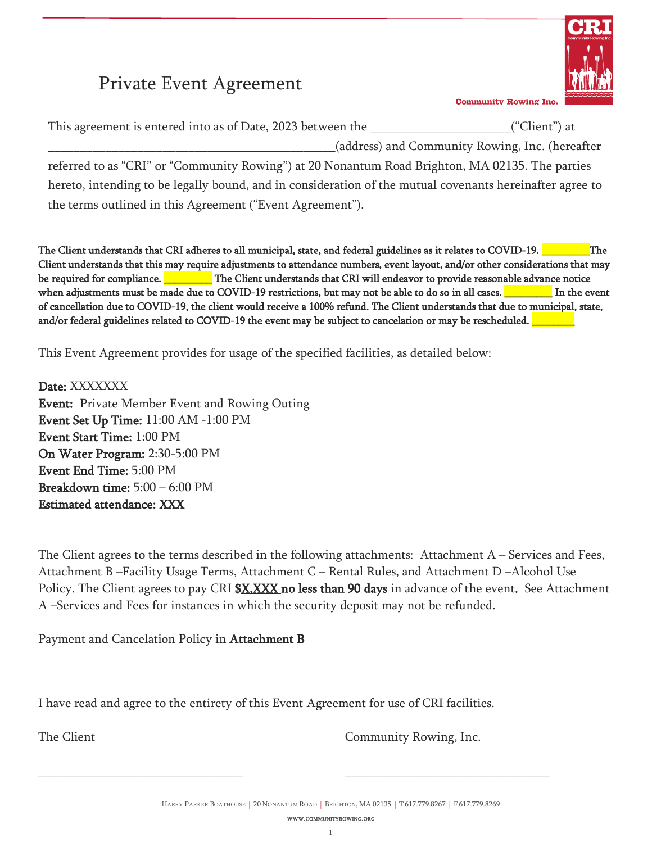# Private Event Agreement



**Community Rowing Inc.** 

This agreement is entered into as of Date, 2023 between the \_\_\_\_\_\_\_\_\_\_\_\_\_\_\_\_\_\_\_\_\_\_("Client") at

\_\_\_\_\_\_\_\_\_\_\_\_\_\_\_\_\_\_\_\_\_\_\_\_\_\_\_\_\_\_\_\_\_\_\_\_\_\_\_\_\_\_\_\_\_(address) and Community Rowing, Inc. (hereafter

referred to as "CRI" or "Community Rowing") at 20 Nonantum Road Brighton, MA 02135. The parties hereto, intending to be legally bound, and in consideration of the mutual covenants hereinafter agree to the terms outlined in this Agreement ("Event Agreement").

The Client understands that CRI adheres to all municipal, state, and federal guidelines as it relates to COVID-19. \_\_\_\_\_\_\_\_The Client understands that this may require adjustments to attendance numbers, event layout, and/or other considerations that may be required for compliance. **\_\_\_\_\_\_\_\_\_** The Client understands that CRI will endeavor to provide reasonable advance notice when adjustments must be made due to COVID-19 restrictions, but may not be able to do so in all cases. **\_\_\_\_\_\_\_\_** In the event of cancellation due to COVID-19, the client would receive a 100% refund. The Client understands that due to municipal, state, and/or federal guidelines related to COVID-19 the event may be subject to cancelation or may be rescheduled.

This Event Agreement provides for usage of the specified facilities, as detailed below:

Date: XXXXXXX Event: Private Member Event and Rowing Outing Event Set Up Time: 11:00 AM -1:00 PM Event Start Time: 1:00 PM On Water Program: 2:30-5:00 PM Event End Time: 5:00 PM Breakdown time: 5:00 – 6:00 PM Estimated attendance: XXX

The Client agrees to the terms described in the following attachments: Attachment A – Services and Fees, Attachment B –Facility Usage Terms, Attachment C – Rental Rules, and Attachment D –Alcohol Use Policy. The Client agrees to pay CRI \$X, XXX no less than 90 days in advance of the event. See Attachment A –Services and Fees for instances in which the security deposit may not be refunded.

Payment and Cancelation Policy in Attachment B

I have read and agree to the entirety of this Event Agreement for use of CRI facilities.

\_\_\_\_\_\_\_\_\_\_\_\_\_\_\_\_\_\_\_\_\_\_\_\_\_\_\_\_\_\_\_\_ \_\_\_\_\_\_\_\_\_\_\_\_\_\_\_\_\_\_\_\_\_\_\_\_\_\_\_\_\_\_\_\_

The Client Community Rowing, Inc.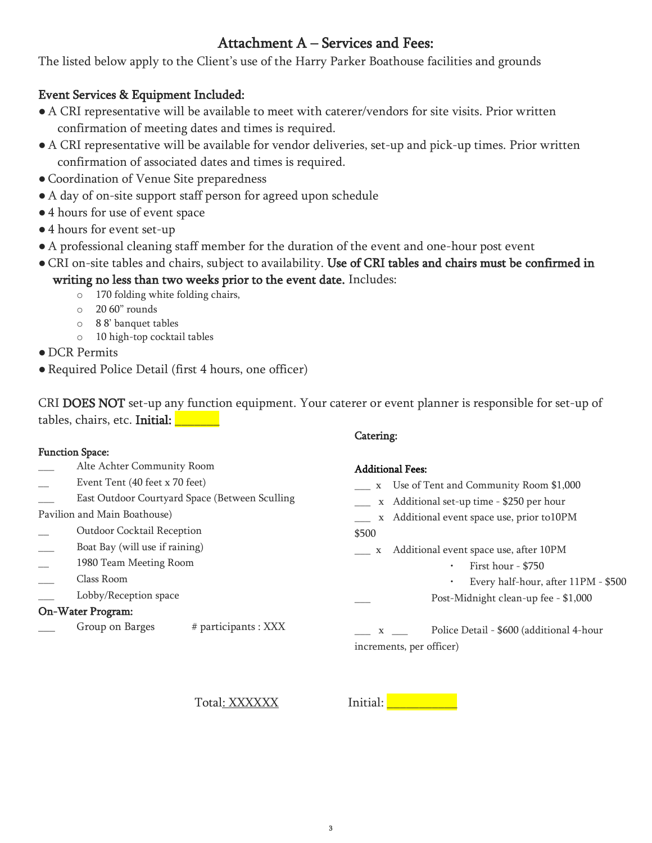# Attachment A – Services and Fees:

The listed below apply to the Client's use of the Harry Parker Boathouse facilities and grounds

## Event Services & Equipment Included:

- A CRI representative will be available to meet with caterer/vendors for site visits. Prior written confirmation of meeting dates and times is required.
- A CRI representative will be available for vendor deliveries, set-up and pick-up times. Prior written confirmation of associated dates and times is required.
- ●Coordination of Venue Site preparedness
- A day of on-site support staff person for agreed upon schedule
- 4 hours for use of event space
- 4 hours for event set-up
- A professional cleaning staff member for the duration of the event and one-hour post event
- ●CRI on-site tables and chairs, subject to availability. Use of CRI tables and chairs must be confirmed in writing no less than two weeks prior to the event date. Includes:
	- o 170 folding white folding chairs,
	- o 20 60" rounds
	- o 8 8' banquet tables
	- o 10 high-top cocktail tables
- DCR Permits
- Required Police Detail (first 4 hours, one officer)

CRI DOES NOT set-up any function equipment. Your caterer or event planner is responsible for set-up of tables, chairs, etc. Initial:

#### Function Space:

- \_\_\_ Alte Achter Community Room
- Event Tent (40 feet x 70 feet)
- East Outdoor Courtyard Space (Between Sculling
- Pavilion and Main Boathouse)
- \_\_ Outdoor Cocktail Reception
- Boat Bay (will use if raining)
- \_\_ 1980 Team Meeting Room
- \_\_\_ Class Room
- Lobby/Reception space

#### On-Water Program:

Group on Barges # participants : XXX

## Catering:

#### Additional Fees:

- \_\_\_ x Use of Tent and Community Room \$1,000 \_\_\_ x Additional set-up time - \$250 per hour
- \_\_\_ x Additional event space use, prior to10PM
- \$500
- \_\_\_ x Additional event space use, after 10PM
	- First hour \$750
	- Every half-hour, after 11PM \$500
	- Post-Midnight clean-up fee \$1,000
- \_\_\_ x \_\_\_ Police Detail \$600 (additional 4-hour increments, per officer)

Total: XXXXXX Initial: \_\_\_\_\_\_\_\_\_\_\_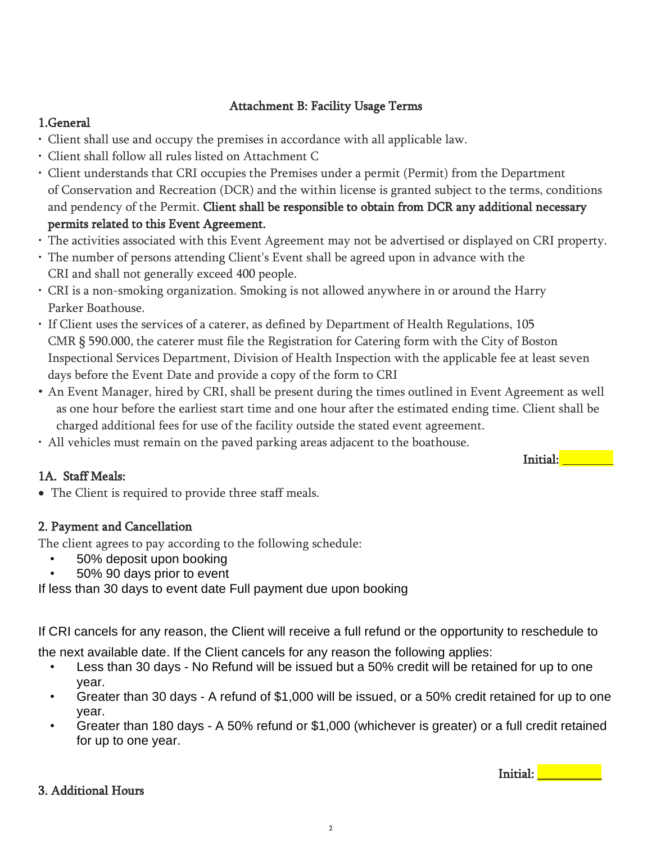## Attachment B: Facility Usage Terms

# 1.General

- Client shall use and occupy the premises in accordance with all applicable law.
- Client shall follow all rules listed on Attachment C
- Client understands that CRI occupies the Premises under a permit (Permit) from the Department of Conservation and Recreation (DCR) and the within license is granted subject to the terms, conditions and pendency of the Permit. Client shall be responsible to obtain from DCR any additional necessary permits related to this Event Agreement.
- The activities associated with this Event Agreement may not be advertised or displayed on CRI property.
- The number of persons attending Client's Event shall be agreed upon in advance with the CRI and shall not generally exceed 400 people.
- CRI is a non-smoking organization. Smoking is not allowed anywhere in or around the Harry Parker Boathouse.
- If Client uses the services of a caterer, as defined by Department of Health Regulations, 105 CMR § 590.000, the caterer must file the Registration for Catering form with the City of Boston Inspectional Services Department, Division of Health Inspection with the applicable fee at least seven days before the Event Date and provide a copy of the form to CRI
- An Event Manager, hired by CRI, shall be present during the times outlined in Event Agreement as well as one hour before the earliest start time and one hour after the estimated ending time. Client shall be charged additional fees for use of the facility outside the stated event agreement.
- All vehicles must remain on the paved parking areas adjacent to the boathouse.

# 1A. Staff Meals:

• The Client is required to provide three staff meals.

## 2. Payment and Cancellation

The client agrees to pay according to the following schedule:

- 50% deposit upon booking
- 50% 90 days prior to event

If less than 30 days to event date Full payment due upon booking

If CRI cancels for any reason, the Client will receive a full refund or the opportunity to reschedule to

the next available date. If the Client cancels for any reason the following applies:

- Less than 30 days No Refund will be issued but a 50% credit will be retained for up to one year.
- Greater than 30 days A refund of \$1,000 will be issued, or a 50% credit retained for up to one year.
- Greater than 180 days A 50% refund or \$1,000 (whichever is greater) or a full credit retained for up to one year.

## 3. Additional Hours

Initial: **\_\_\_\_\_\_\_**\_\_\_\_

Initial: **with**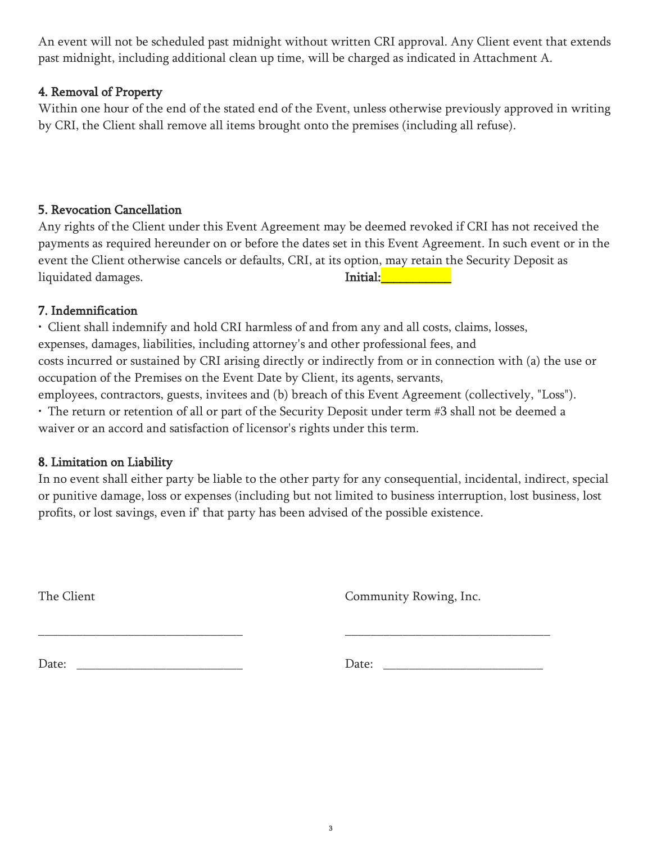An event will not be scheduled past midnight without written CRI approval. Any Client event that extends past midnight, including additional clean up time, will be charged as indicated in Attachment A.

#### 4. Removal of Property

Within one hour of the end of the stated end of the Event, unless otherwise previously approved in writing by CRI, the Client shall remove all items brought onto the premises (including all refuse).

## 5. Revocation Cancellation

Any rights of the Client under this Event Agreement may be deemed revoked if CRI has not received the payments as required hereunder on or before the dates set in this Event Agreement. In such event or in the event the Client otherwise cancels or defaults, CRI, at its option, may retain the Security Deposit as liquidated damages. Thitial: Thitial: Thitial: Thitial: Thitial: Thitial: Thitial: Thitial: Thitial: Thitial: Thitial: Thitial: Thitial: Thitial: Thitial: Thitial: Thitial: Thitial: Thitial: Thitial: Thitial: Thitial: Thit

#### 7. Indemnification

• Client shall indemnify and hold CRI harmless of and from any and all costs, claims, losses, expenses, damages, liabilities, including attorney's and other professional fees, and costs incurred or sustained by CRI arising directly or indirectly from or in connection with (a) the use or occupation of the Premises on the Event Date by Client, its agents, servants, employees, contractors, guests, invitees and (b) breach of this Event Agreement (collectively, "Loss").

• The return or retention of all or part of the Security Deposit under term #3 shall not be deemed a waiver or an accord and satisfaction of licensor's rights under this term.

\_\_\_\_\_\_\_\_\_\_\_\_\_\_\_\_\_\_\_\_\_\_\_\_\_\_\_\_\_\_\_\_ \_\_\_\_\_\_\_\_\_\_\_\_\_\_\_\_\_\_\_\_\_\_\_\_\_\_\_\_\_\_\_\_

## 8. Limitation on Liability

In no event shall either party be liable to the other party for any consequential, incidental, indirect, special or punitive damage, loss or expenses (including but not limited to business interruption, lost business, lost profits, or lost savings, even if' that party has been advised of the possible existence.

The Client Community Rowing, Inc.

Date: \_\_\_\_\_\_\_\_\_\_\_\_\_\_\_\_\_\_\_\_\_\_\_\_\_\_ Date: \_\_\_\_\_\_\_\_\_\_\_\_\_\_\_\_\_\_\_\_\_\_\_\_\_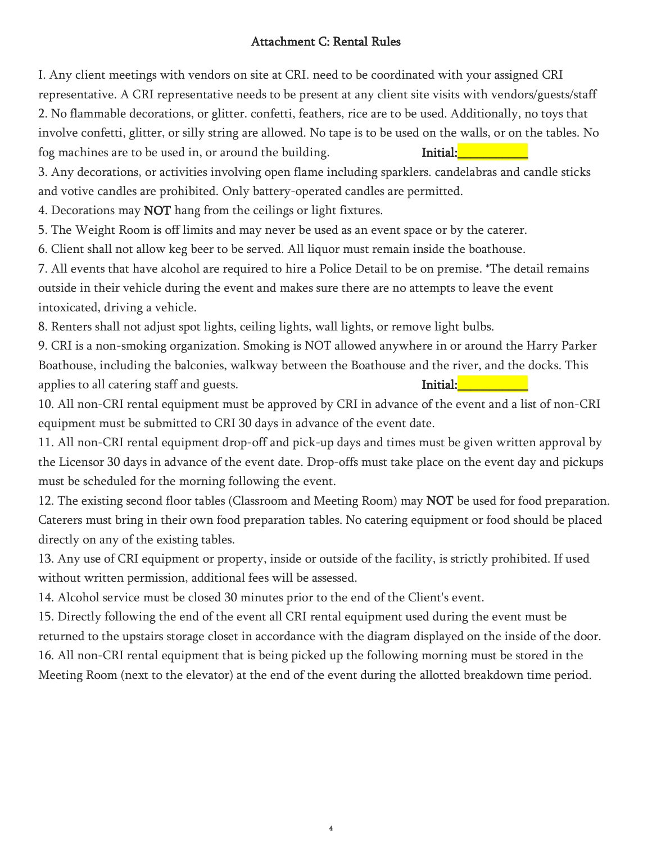### Attachment C: Rental Rules

I. Any client meetings with vendors on site at CRI. need to be coordinated with your assigned CRI representative. A CRI representative needs to be present at any client site visits with vendors/guests/staff 2. No flammable decorations, or glitter. confetti, feathers, rice are to be used. Additionally, no toys that involve confetti, glitter, or silly string are allowed. No tape is to be used on the walls, or on the tables. No fog machines are to be used in, or around the building. **Initial:** 

3. Any decorations, or activities involving open flame including sparklers. candelabras and candle sticks and votive candles are prohibited. Only battery-operated candles are permitted.

4. Decorations may NOT hang from the ceilings or light fixtures.

5. The Weight Room is off limits and may never be used as an event space or by the caterer.

6. Client shall not allow keg beer to be served. All liquor must remain inside the boathouse.

7. All events that have alcohol are required to hire a Police Detail to be on premise. \*The detail remains outside in their vehicle during the event and makes sure there are no attempts to leave the event intoxicated, driving a vehicle.

8. Renters shall not adjust spot lights, ceiling lights, wall lights, or remove light bulbs.

9. CRI is a non-smoking organization. Smoking is NOT allowed anywhere in or around the Harry Parker Boathouse, including the balconies, walkway between the Boathouse and the river, and the docks. This applies to all catering staff and guests. Thitial:

10. All non-CRI rental equipment must be approved by CRI in advance of the event and a list of non-CRI equipment must be submitted to CRI 30 days in advance of the event date.

11. All non-CRI rental equipment drop-off and pick-up days and times must be given written approval by the Licensor 30 days in advance of the event date. Drop-offs must take place on the event day and pickups must be scheduled for the morning following the event.

12. The existing second floor tables (Classroom and Meeting Room) may **NOT** be used for food preparation. Caterers must bring in their own food preparation tables. No catering equipment or food should be placed directly on any of the existing tables.

13. Any use of CRI equipment or property, inside or outside of the facility, is strictly prohibited. If used without written permission, additional fees will be assessed.

14. Alcohol service must be closed 30 minutes prior to the end of the Client's event.

15. Directly following the end of the event all CRI rental equipment used during the event must be returned to the upstairs storage closet in accordance with the diagram displayed on the inside of the door. 16. All non-CRI rental equipment that is being picked up the following morning must be stored in the Meeting Room (next to the elevator) at the end of the event during the allotted breakdown time period.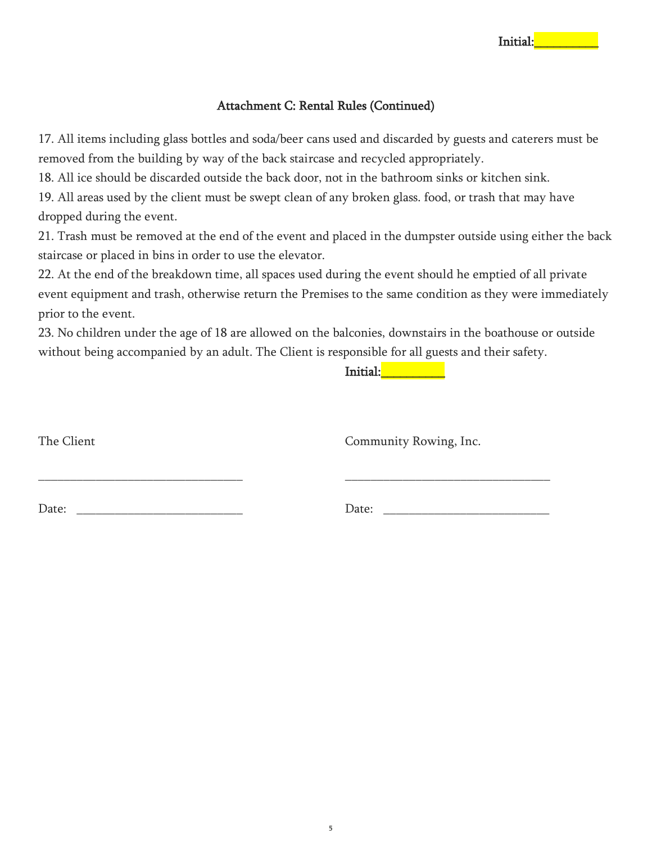#### Attachment C: Rental Rules (Continued)

17. All items including glass bottles and soda/beer cans used and discarded by guests and caterers must be removed from the building by way of the back staircase and recycled appropriately.

18. All ice should be discarded outside the back door, not in the bathroom sinks or kitchen sink.

19. All areas used by the client must be swept clean of any broken glass. food, or trash that may have dropped during the event.

21. Trash must be removed at the end of the event and placed in the dumpster outside using either the back staircase or placed in bins in order to use the elevator.

22. At the end of the breakdown time, all spaces used during the event should he emptied of all private event equipment and trash, otherwise return the Premises to the same condition as they were immediately prior to the event.

23. No children under the age of 18 are allowed on the balconies, downstairs in the boathouse or outside without being accompanied by an adult. The Client is responsible for all guests and their safety.

\_\_\_\_\_\_\_\_\_\_\_\_\_\_\_\_\_\_\_\_\_\_\_\_\_\_\_\_\_\_\_\_ \_\_\_\_\_\_\_\_\_\_\_\_\_\_\_\_\_\_\_\_\_\_\_\_\_\_\_\_\_\_\_\_

Initial: **with the set of the set of the set of the set of the set of the set of the set of the set of the set** 

The Client Community Rowing, Inc.

Date: \_\_\_\_\_\_\_\_\_\_\_\_\_\_\_\_\_\_\_\_\_\_\_\_\_\_ Date: \_\_\_\_\_\_\_\_\_\_\_\_\_\_\_\_\_\_\_\_\_\_\_\_\_\_